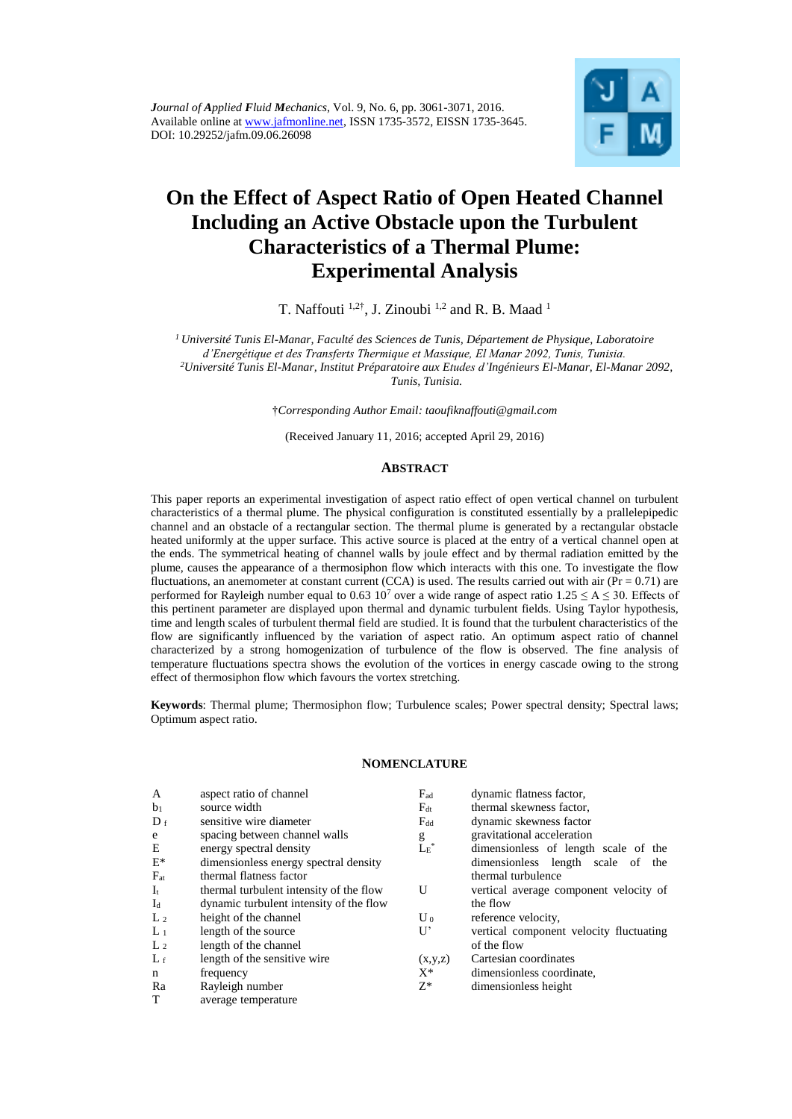

# **On the Effect of Aspect Ratio of Open Heated Channel Including an Active Obstacle upon the Turbulent Characteristics of a Thermal Plume: Experimental Analysis**

T. Naffouti  $^{1,2^{\dagger}}$ , J. Zinoubi  $^{1,2}$  and R. B. Maad  $^{1}$ 

*<sup>1</sup>Université Tunis El-Manar, Faculté des Sciences de Tunis, Département de Physique, Laboratoire d'Energétique et des Transferts Thermique et Massique, El Manar 2092, Tunis, Tunisia. <sup>2</sup>Université Tunis El-Manar, Institut Préparatoire aux Etudes d'Ingénieurs El-Manar, El-Manar 2092,* 

*Tunis, Tunisia.*

†*Corresponding Author Email: [taoufiknaffouti@gmail.com](mailto:taoufiknaffouti@gmail.com)*

(Received January 11, 2016; accepted April 29, 2016)

#### **ABSTRACT**

This paper reports an experimental investigation of aspect ratio effect of open vertical channel on turbulent characteristics of a thermal plume. The physical configuration is constituted essentially by a prallelepipedic channel and an obstacle of a rectangular section. The thermal plume is generated by a rectangular obstacle heated uniformly at the upper surface. This active source is placed at the entry of a vertical channel open at the ends. The symmetrical heating of channel walls by joule effect and by thermal radiation emitted by the plume, causes the appearance of a thermosiphon flow which interacts with this one. To investigate the flow fluctuations, an anemometer at constant current (CCA) is used. The results carried out with air ( $Pr = 0.71$ ) are performed for Rayleigh number equal to 0.63 10<sup>7</sup> over a wide range of aspect ratio 1.25  $\leq$  A  $\leq$  30. Effects of this pertinent parameter are displayed upon thermal and dynamic turbulent fields. Using Taylor hypothesis, time and length scales of turbulent thermal field are studied. It is found that the turbulent characteristics of the flow are significantly influenced by the variation of aspect ratio. An optimum aspect ratio of channel characterized by a strong homogenization of turbulence of the flow is observed. The fine analysis of temperature fluctuations spectra shows the evolution of the vortices in energy cascade owing to the strong effect of thermosiphon flow which favours the vortex stretching.

**Keywords**: Thermal plume; Thermosiphon flow; Turbulence scales; Power spectral density; Spectral laws; Optimum aspect ratio.

#### **NOMENCLATURE**

| $\mathbf{A}$<br>aspect ratio of channel<br>$F_{ad}$<br>dynamic flatness factor,                 |  |
|-------------------------------------------------------------------------------------------------|--|
| source width<br>thermal skewness factor,<br>b <sub>1</sub><br>$F_{dt}$                          |  |
| sensitive wire diameter<br>dynamic skewness factor<br>$D_f$<br>$F_{dd}$                         |  |
| gravitational acceleration<br>spacing between channel walls<br>e<br>g                           |  |
| $L_E^*$<br>Ε<br>energy spectral density<br>dimensionless of length scale of the                 |  |
| $E^*$<br>dimensionless energy spectral density<br>dimensionless length scale of the             |  |
| thermal flatness factor<br>$F_{at}$<br>thermal turbulence                                       |  |
| U<br>$I_t$<br>thermal turbulent intensity of the flow<br>vertical average component velocity of |  |
| $I_d$<br>dynamic turbulent intensity of the flow<br>the flow                                    |  |
| height of the channel<br>L <sub>2</sub><br>reference velocity,<br>$U_0$                         |  |
| U'<br>$L_1$<br>length of the source<br>vertical component velocity fluctuating                  |  |
| of the flow<br>length of the channel<br>L <sub>2</sub>                                          |  |
| length of the sensitive wire<br>Cartesian coordinates<br>$L_f$<br>(x,y,z)                       |  |
| $X^*$<br>dimensionless coordinate,<br>frequency<br>$\mathbf n$                                  |  |
| $Z^*$<br>Rayleigh number<br>dimensionless height<br>Ra                                          |  |
| T<br>average temperature                                                                        |  |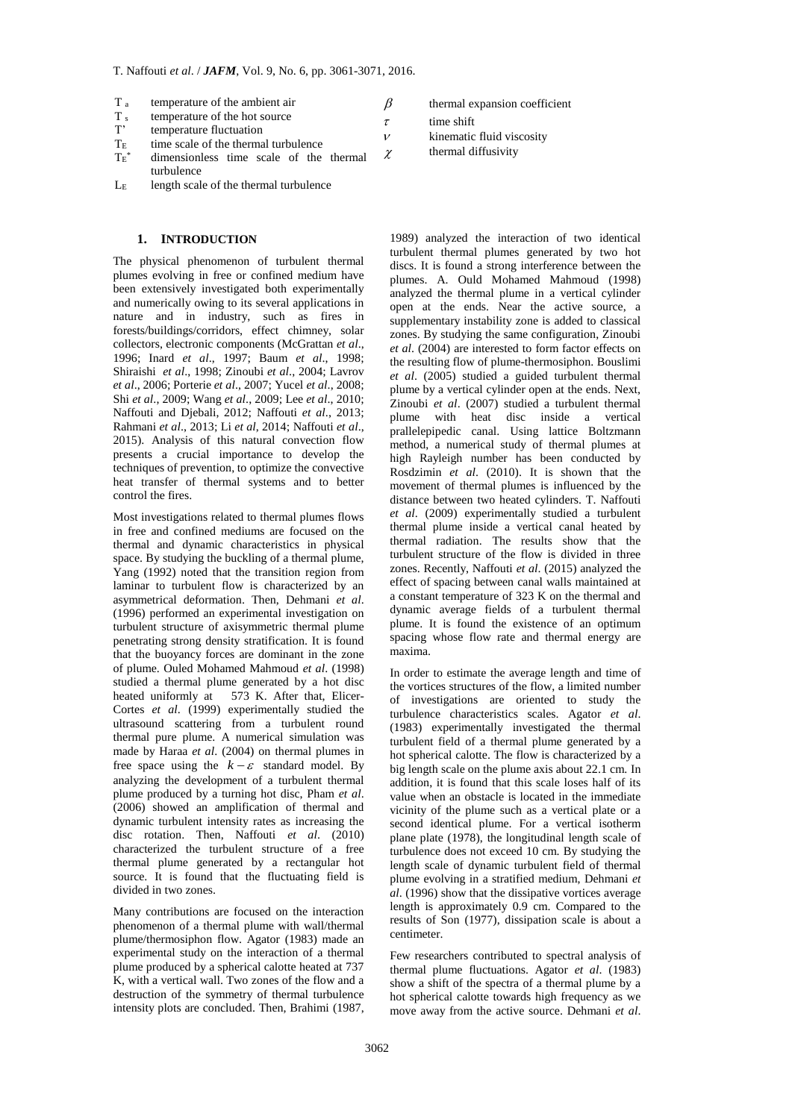- $T_a$  temperature of the ambient air<br> $T_s$  temperature of the hot source
- $T_s$  temperature of the hot source<br> $T'$  temperature fluctuation
- T' temperature fluctuation<br>T<sub>E</sub> time scale of the therma
- time scale of the thermal turbulence
- $\mathrm{Tr}^*$ dimensionless time scale of the thermal turbulence  $\chi$
- L<sup>E</sup> length scale of the thermal turbulence

## **1. INTRODUCTION**

The physical phenomenon of turbulent thermal plumes evolving in free or confined medium have been extensively investigated both experimentally and numerically owing to its several applications in nature and in industry, such as fires in forests/buildings/corridors, effect chimney, solar collectors, electronic components (McGrattan *et al*., 1996; Inard *et al*., 1997; Baum *et al*., 1998; Shiraishi *et al*., 1998; Zinoubi *et al*., 2004; Lavrov *et al*., 2006; Porterie *et al*., 2007; Yucel *et al*., 2008; Shi *et al*., 2009; Wang *et al*., 2009; Lee *et al*., 2010; Naffouti and Djebali, 2012; Naffouti *et al*., 2013; Rahmani *et al*., 2013; Li *et al*, 2014; Naffouti *et al*., 2015). Analysis of this natural convection flow presents a crucial importance to develop the techniques of prevention, to optimize the convective heat transfer of thermal systems and to better control the fires.

Most investigations related to thermal plumes flows in free and confined mediums are focused on the thermal and dynamic characteristics in physical space. By studying the buckling of a thermal plume, Yang (1992) noted that the transition region from laminar to turbulent flow is characterized by an asymmetrical deformation. Then, Dehmani *et al*. (1996) performed an experimental investigation on turbulent structure of axisymmetric thermal plume penetrating strong density stratification. It is found that the buoyancy forces are dominant in the zone of plume. Ouled Mohamed Mahmoud *et al*. (1998) studied a thermal plume generated by a hot disc heated uniformly at 573 K. After that, Elicer-Cortes *et al*. (1999) experimentally studied the ultrasound scattering from a turbulent round thermal pure plume. A numerical simulation was made by Haraa *et al*. (2004) on thermal plumes in free space using the  $k - \varepsilon$  standard model. By analyzing the development of a turbulent thermal plume produced by a turning hot disc, Pham *et al*. (2006) showed an amplification of thermal and dynamic turbulent intensity rates as increasing the disc rotation. Then, Naffouti *et al*. (2010) characterized the turbulent structure of a free thermal plume generated by a rectangular hot source. It is found that the fluctuating field is divided in two zones.

Many contributions are focused on the interaction phenomenon of a thermal plume with wall/thermal plume/thermosiphon flow. Agator (1983) made an experimental study on the interaction of a thermal plume produced by a spherical calotte heated at 737 K, with a vertical wall. Two zones of the flow and a destruction of the symmetry of thermal turbulence intensity plots are concluded. Then, Brahimi (1987,

- thermal expansion coefficient
- $\tau$ time shift

 $\beta$ 

 $\overline{\nu}$ 

- kinematic fluid viscosity
- thermal diffusivity

1989) analyzed the interaction of two identical turbulent thermal plumes generated by two hot discs. It is found a strong interference between the plumes. A. Ould Mohamed Mahmoud (1998) analyzed the thermal plume in a vertical cylinder open at the ends. Near the active source, a supplementary instability zone is added to classical zones. By studying the same configuration, Zinoubi *et al*. (2004) are interested to form factor effects on the resulting flow of plume-thermosiphon. Bouslimi *et al*. (2005) studied a guided turbulent thermal plume by a vertical cylinder open at the ends. Next, Zinoubi *et al*. (2007) studied a turbulent thermal plume with heat disc inside a vertical prallelepipedic canal. Using lattice Boltzmann method, a numerical study of thermal plumes at high Rayleigh number has been conducted by Rosdzimin *et al*. (2010). It is shown that the movement of thermal plumes is influenced by the distance between two heated cylinders. T. Naffouti *et al*. (2009) experimentally studied a turbulent thermal plume inside a vertical canal heated by thermal radiation. The results show that the turbulent structure of the flow is divided in three zones. Recently, Naffouti *et al*. (2015) analyzed the effect of spacing between canal walls maintained at a constant temperature of 323 K on the thermal and dynamic average fields of a turbulent thermal plume. It is found the existence of an optimum spacing whose flow rate and thermal energy are maxima.

In order to estimate the average length and time of the vortices structures of the flow, a limited number of investigations are oriented to study the turbulence characteristics scales. Agator *et al*. (1983) experimentally investigated the thermal turbulent field of a thermal plume generated by a hot spherical calotte. The flow is characterized by a big length scale on the plume axis about 22.1 cm. In addition, it is found that this scale loses half of its value when an obstacle is located in the immediate vicinity of the plume such as a vertical plate or a second identical plume. For a vertical isotherm plane plate (1978), the longitudinal length scale of turbulence does not exceed 10 cm. By studying the length scale of dynamic turbulent field of thermal plume evolving in a stratified medium, Dehmani *et al*. (1996) show that the dissipative vortices average length is approximately 0.9 cm. Compared to the results of Son (1977), dissipation scale is about a centimeter.

Few researchers contributed to spectral analysis of thermal plume fluctuations. Agator *et al*. (1983) show a shift of the spectra of a thermal plume by a hot spherical calotte towards high frequency as we move away from the active source. Dehmani *et al*.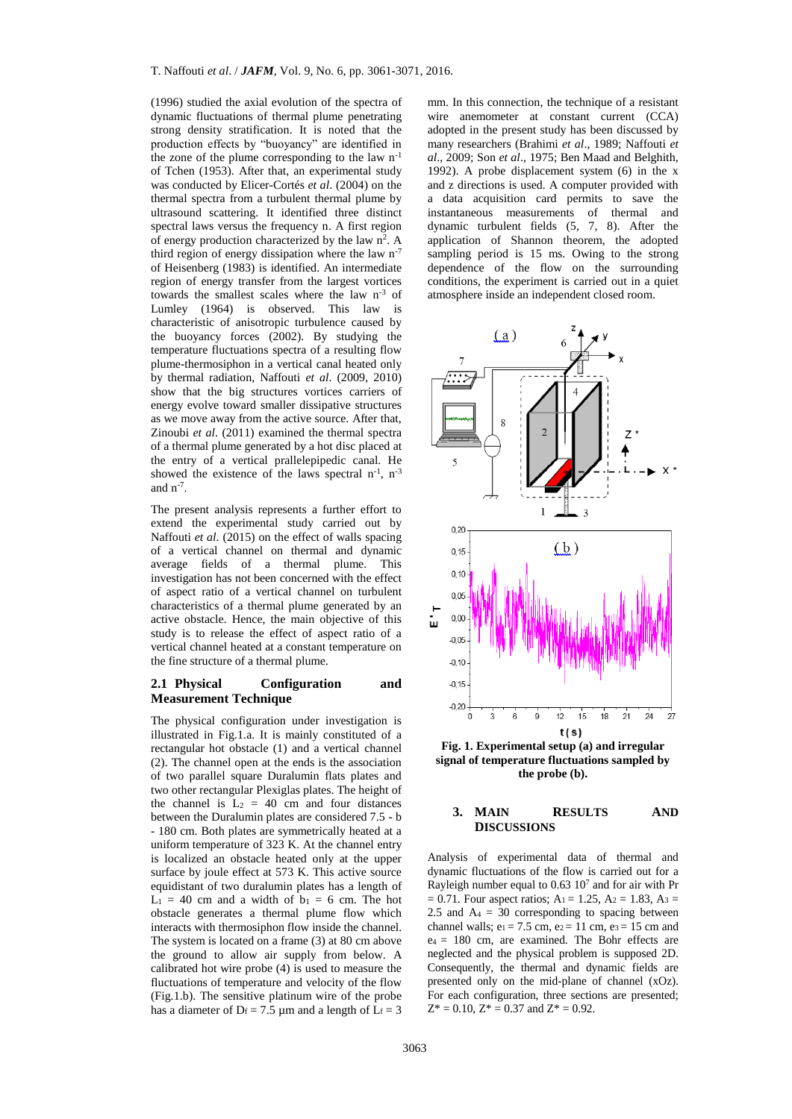(1996) studied the axial evolution of the spectra of dynamic fluctuations of thermal plume penetrating strong density stratification. It is noted that the production effects by "buoyancy" are identified in the zone of the plume corresponding to the law  $n^{-1}$ of Tchen (1953). After that, an experimental study was conducted by Elicer-Cortés *et al*. (2004) on the thermal spectra from a turbulent thermal plume by ultrasound scattering. It identified three distinct spectral laws versus the frequency n. A first region of energy production characterized by the law  $n^2$ . A third region of energy dissipation where the law  $n^{-7}$ of Heisenberg (1983) is identified. An intermediate region of energy transfer from the largest vortices towards the smallest scales where the law n-3 of Lumley (1964) is observed. This law is characteristic of anisotropic turbulence caused by the buoyancy forces (2002). By studying the temperature fluctuations spectra of a resulting flow plume-thermosiphon in a vertical canal heated only by thermal radiation, Naffouti *et al*. (2009, 2010) show that the big structures vortices carriers of energy evolve toward smaller dissipative structures as we move away from the active source. After that, Zinoubi *et al*. (2011) examined the thermal spectra of a thermal plume generated by a hot disc placed at the entry of a vertical prallelepipedic canal. He showed the existence of the laws spectral  $n^{-1}$ ,  $n^{-3}$ and  $n^{-7}$ .

The present analysis represents a further effort to extend the experimental study carried out by Naffouti *et al*. (2015) on the effect of walls spacing of a vertical channel on thermal and dynamic average fields of a thermal plume. This investigation has not been concerned with the effect of aspect ratio of a vertical channel on turbulent characteristics of a thermal plume generated by an active obstacle. Hence, the main objective of this study is to release the effect of aspect ratio of a vertical channel heated at a constant temperature on the fine structure of a thermal plume.

## **2.1 Physical Configuration and Measurement Technique**

The physical configuration under investigation is illustrated in Fig.1.a. It is mainly constituted of a rectangular hot obstacle (1) and a vertical channel (2). The channel open at the ends is the association of two parallel square Duralumin flats plates and two other rectangular Plexiglas plates. The height of the channel is  $L_2 = 40$  cm and four distances between the Duralumin plates are considered 7.5 - b - 180 cm. Both plates are symmetrically heated at a uniform temperature of 323 K. At the channel entry is localized an obstacle heated only at the upper surface by joule effect at 573 K. This active source equidistant of two duralumin plates has a length of  $L_1 = 40$  cm and a width of  $b_1 = 6$  cm. The hot obstacle generates a thermal plume flow which interacts with thermosiphon flow inside the channel. The system is located on a frame (3) at 80 cm above the ground to allow air supply from below. A calibrated hot wire probe (4) is used to measure the fluctuations of temperature and velocity of the flow (Fig.1.b). The sensitive platinum wire of the probe has a diameter of  $D_f = 7.5 \mu m$  and a length of  $L_f = 3$ 

mm. In this connection, the technique of a resistant wire anemometer at constant current (CCA) adopted in the present study has been discussed by many researchers (Brahimi *et al*., 1989; Naffouti *et al*., 2009; Son *et al*., 1975; Ben Maad and Belghith, 1992). A probe displacement system (6) in the x and z directions is used. A computer provided with a data acquisition card permits to save the instantaneous measurements of thermal and dynamic turbulent fields (5, 7, 8). After the application of Shannon theorem, the adopted sampling period is 15 ms. Owing to the strong dependence of the flow on the surrounding conditions, the experiment is carried out in a quiet atmosphere inside an independent closed room.



**Fig. 1. Experimental setup (a) and irregular signal of temperature fluctuations sampled by the probe (b).**

#### **3. MAIN RESULTS AND DISCUSSIONS**

Analysis of experimental data of thermal and dynamic fluctuations of the flow is carried out for a Rayleigh number equal to  $0.63 \times 10^7$  and for air with Pr  $= 0.71$ . Four aspect ratios; A<sub>1</sub> = 1.25, A<sub>2</sub> = 1.83, A<sub>3</sub> = 2.5 and  $A_4 = 30$  corresponding to spacing between channel walls;  $e_1 = 7.5$  cm,  $e_2 = 11$  cm,  $e_3 = 15$  cm and  $e_4 = 180$  cm, are examined. The Bohr effects are neglected and the physical problem is supposed 2D. Consequently, the thermal and dynamic fields are presented only on the mid-plane of channel (xOz). For each configuration, three sections are presented;  $Z^* = 0.10$ ,  $Z^* = 0.37$  and  $Z^* = 0.92$ .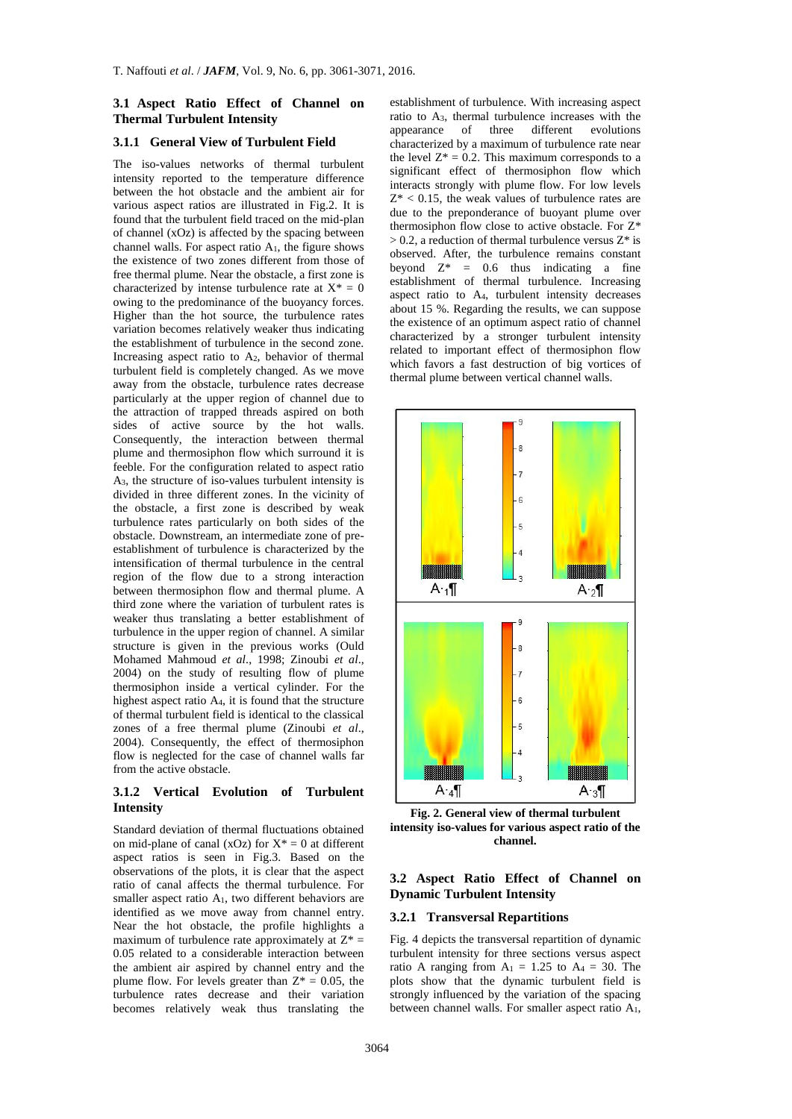## **3.1 Aspect Ratio Effect of Channel on Thermal Turbulent Intensity**

## **3.1.1 General View of Turbulent Field**

The iso-values networks of thermal turbulent intensity reported to the temperature difference between the hot obstacle and the ambient air for various aspect ratios are illustrated in Fig.2. It is found that the turbulent field traced on the mid-plan of channel (xOz) is affected by the spacing between channel walls. For aspect ratio A1, the figure shows the existence of two zones different from those of free thermal plume. Near the obstacle, a first zone is characterized by intense turbulence rate at  $X^* = 0$ owing to the predominance of the buoyancy forces. Higher than the hot source, the turbulence rates variation becomes relatively weaker thus indicating the establishment of turbulence in the second zone. Increasing aspect ratio to A2, behavior of thermal turbulent field is completely changed. As we move away from the obstacle, turbulence rates decrease particularly at the upper region of channel due to the attraction of trapped threads aspired on both sides of active source by the hot walls. Consequently, the interaction between thermal plume and thermosiphon flow which surround it is feeble. For the configuration related to aspect ratio A3, the structure of iso-values turbulent intensity is divided in three different zones. In the vicinity of the obstacle, a first zone is described by weak turbulence rates particularly on both sides of the obstacle. Downstream, an intermediate zone of preestablishment of turbulence is characterized by the intensification of thermal turbulence in the central region of the flow due to a strong interaction between thermosiphon flow and thermal plume. A third zone where the variation of turbulent rates is weaker thus translating a better establishment of turbulence in the upper region of channel. A similar structure is given in the previous works (Ould Mohamed Mahmoud *et al*., 1998; Zinoubi *et al*., 2004) on the study of resulting flow of plume thermosiphon inside a vertical cylinder. For the highest aspect ratio A4, it is found that the structure of thermal turbulent field is identical to the classical zones of a free thermal plume (Zinoubi *et al*., 2004). Consequently, the effect of thermosiphon flow is neglected for the case of channel walls far from the active obstacle.

## **3.1.2 Vertical Evolution of Turbulent Intensity**

Standard deviation of thermal fluctuations obtained on mid-plane of canal (xOz) for  $X^* = 0$  at different aspect ratios is seen in Fig.3. Based on the observations of the plots, it is clear that the aspect ratio of canal affects the thermal turbulence. For smaller aspect ratio A1, two different behaviors are identified as we move away from channel entry. Near the hot obstacle, the profile highlights a maximum of turbulence rate approximately at  $Z^* =$ 0.05 related to a considerable interaction between the ambient air aspired by channel entry and the plume flow. For levels greater than  $Z^* = 0.05$ , the turbulence rates decrease and their variation becomes relatively weak thus translating the

establishment of turbulence. With increasing aspect ratio to  $A_3$ , thermal turbulence increases with the appearance of three different evolutions appearance characterized by a maximum of turbulence rate near the level  $Z^* = 0.2$ . This maximum corresponds to a significant effect of thermosiphon flow which interacts strongly with plume flow. For low levels  $Z^*$  < 0.15, the weak values of turbulence rates are due to the preponderance of buoyant plume over thermosiphon flow close to active obstacle. For Z\*  $> 0.2$ , a reduction of thermal turbulence versus  $Z^*$  is observed. After, the turbulence remains constant beyond  $Z^* = 0.6$  thus indicating a fine establishment of thermal turbulence. Increasing aspect ratio to A4, turbulent intensity decreases about 15 %. Regarding the results, we can suppose the existence of an optimum aspect ratio of channel characterized by a stronger turbulent intensity related to important effect of thermosiphon flow which favors a fast destruction of big vortices of thermal plume between vertical channel walls.



**Fig. 2. General view of thermal turbulent intensity iso-values for various aspect ratio of the channel.**

## **3.2 Aspect Ratio Effect of Channel on Dynamic Turbulent Intensity**

#### **3.2.1 Transversal Repartitions**

Fig. 4 depicts the transversal repartition of dynamic turbulent intensity for three sections versus aspect ratio A ranging from  $A_1 = 1.25$  to  $A_4 = 30$ . The plots show that the dynamic turbulent field is strongly influenced by the variation of the spacing between channel walls. For smaller aspect ratio A1,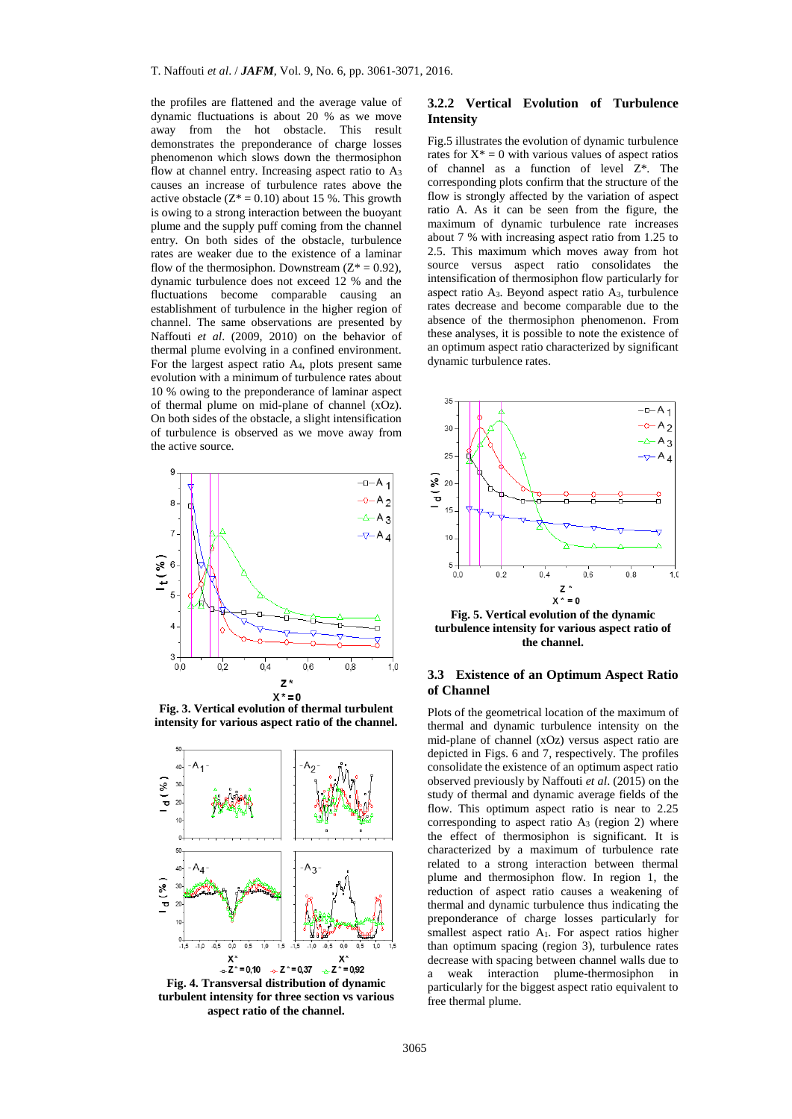the profiles are flattened and the average value of dynamic fluctuations is about 20 % as we move away from the hot obstacle. This result demonstrates the preponderance of charge losses phenomenon which slows down the thermosiphon flow at channel entry. Increasing aspect ratio to A<sup>3</sup> causes an increase of turbulence rates above the active obstacle  $(Z^* = 0.10)$  about 15 %. This growth is owing to a strong interaction between the buoyant plume and the supply puff coming from the channel entry. On both sides of the obstacle, turbulence rates are weaker due to the existence of a laminar flow of the thermosiphon. Downstream  $(Z^* = 0.92)$ , dynamic turbulence does not exceed 12 % and the fluctuations become comparable causing an establishment of turbulence in the higher region of channel. The same observations are presented by Naffouti *et al*. (2009, 2010) on the behavior of thermal plume evolving in a confined environment. For the largest aspect ratio A4, plots present same evolution with a minimum of turbulence rates about 10 % owing to the preponderance of laminar aspect of thermal plume on mid-plane of channel (xOz). On both sides of the obstacle, a slight intensification of turbulence is observed as we move away from the active source.



**Fig. 3. Vertical evolution of thermal turbulent intensity for various aspect ratio of the channel.**



**Fig. 4. Transversal distribution of dynamic turbulent intensity for three section vs various aspect ratio of the channel.**

## **3.2.2 Vertical Evolution of Turbulence Intensity**

Fig.5 illustrates the evolution of dynamic turbulence rates for  $X^* = 0$  with various values of aspect ratios of channel as a function of level Z\*. The corresponding plots confirm that the structure of the flow is strongly affected by the variation of aspect ratio A. As it can be seen from the figure, the maximum of dynamic turbulence rate increases about 7 % with increasing aspect ratio from 1.25 to 2.5. This maximum which moves away from hot source versus aspect ratio consolidates the intensification of thermosiphon flow particularly for aspect ratio A3. Beyond aspect ratio A3, turbulence rates decrease and become comparable due to the absence of the thermosiphon phenomenon. From these analyses, it is possible to note the existence of an optimum aspect ratio characterized by significant dynamic turbulence rates.



**Fig. 5. Vertical evolution of the dynamic turbulence intensity for various aspect ratio of the channel.**

### **3.3 Existence of an Optimum Aspect Ratio of Channel**

Plots of the geometrical location of the maximum of thermal and dynamic turbulence intensity on the mid-plane of channel (xOz) versus aspect ratio are depicted in Figs. 6 and 7, respectively. The profiles consolidate the existence of an optimum aspect ratio observed previously by Naffouti *et al*. (2015) on the study of thermal and dynamic average fields of the flow. This optimum aspect ratio is near to 2.25 corresponding to aspect ratio  $A_3$  (region 2) where the effect of thermosiphon is significant. It is characterized by a maximum of turbulence rate related to a strong interaction between thermal plume and thermosiphon flow. In region 1, the reduction of aspect ratio causes a weakening of thermal and dynamic turbulence thus indicating the preponderance of charge losses particularly for smallest aspect ratio A<sub>1</sub>. For aspect ratios higher than optimum spacing (region 3), turbulence rates decrease with spacing between channel walls due to a weak interaction plume-thermosiphon in particularly for the biggest aspect ratio equivalent to free thermal plume.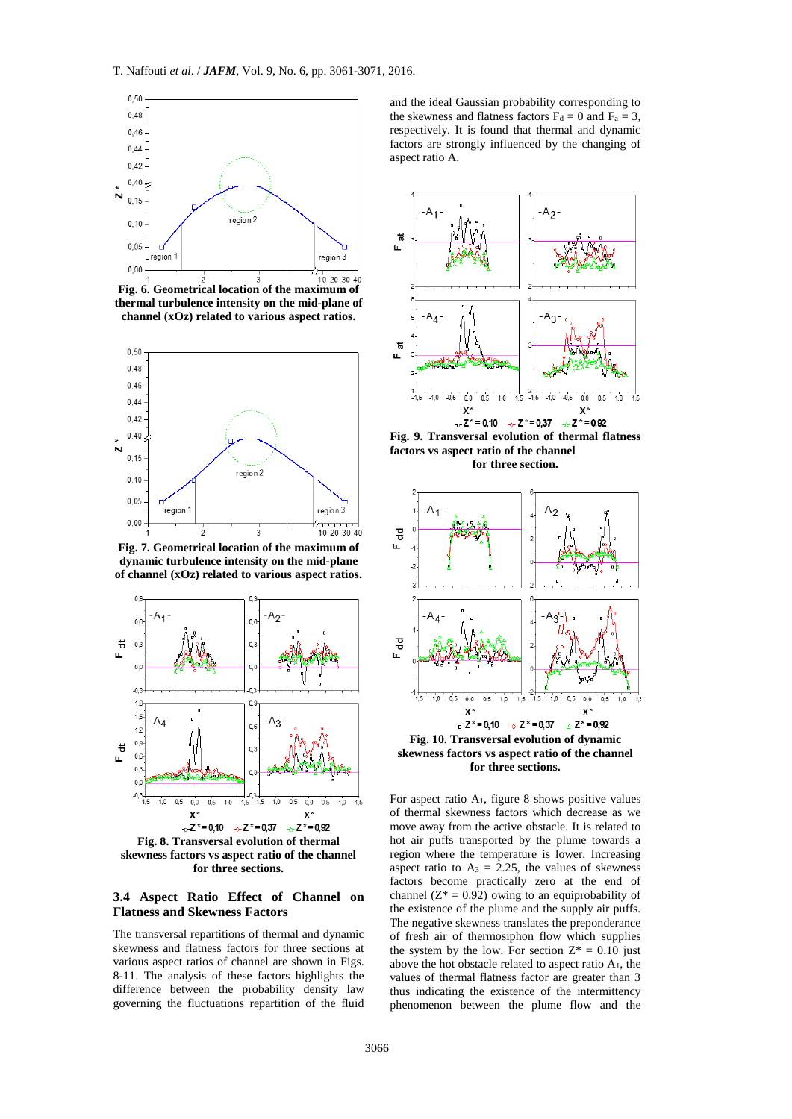

**Fig. 6. Geometrical location of the maximum of thermal turbulence intensity on the mid-plane of channel (xOz) related to various aspect ratios.**



**Fig. 7. Geometrical location of the maximum of dynamic turbulence intensity on the mid-plane of channel (xOz) related to various aspect ratios.**



**for three sections.**

#### **3.4 Aspect Ratio Effect of Channel on Flatness and Skewness Factors**

The transversal repartitions of thermal and dynamic skewness and flatness factors for three sections at various aspect ratios of channel are shown in Figs. 8-11. The analysis of these factors highlights the difference between the probability density law governing the fluctuations repartition of the fluid

and the ideal Gaussian probability corresponding to the skewness and flatness factors  $F_d = 0$  and  $F_a = 3$ , respectively. It is found that thermal and dynamic factors are strongly influenced by the changing of aspect ratio A.



**Fig. 9. Transversal evolution of thermal flatness factors vs aspect ratio of the channel** 





**skewness factors vs aspect ratio of the channel for three sections.**

For aspect ratio  $A_1$ , figure 8 shows positive values of thermal skewness factors which decrease as we move away from the active obstacle. It is related to hot air puffs transported by the plume towards a region where the temperature is lower. Increasing aspect ratio to  $A_3 = 2.25$ , the values of skewness factors become practically zero at the end of channel ( $Z^* = 0.92$ ) owing to an equiprobability of the existence of the plume and the supply air puffs. The negative skewness translates the preponderance of fresh air of thermosiphon flow which supplies the system by the low. For section  $Z^* = 0.10$  just above the hot obstacle related to aspect ratio A1, the values of thermal flatness factor are greater than 3 thus indicating the existence of the intermittency phenomenon between the plume flow and the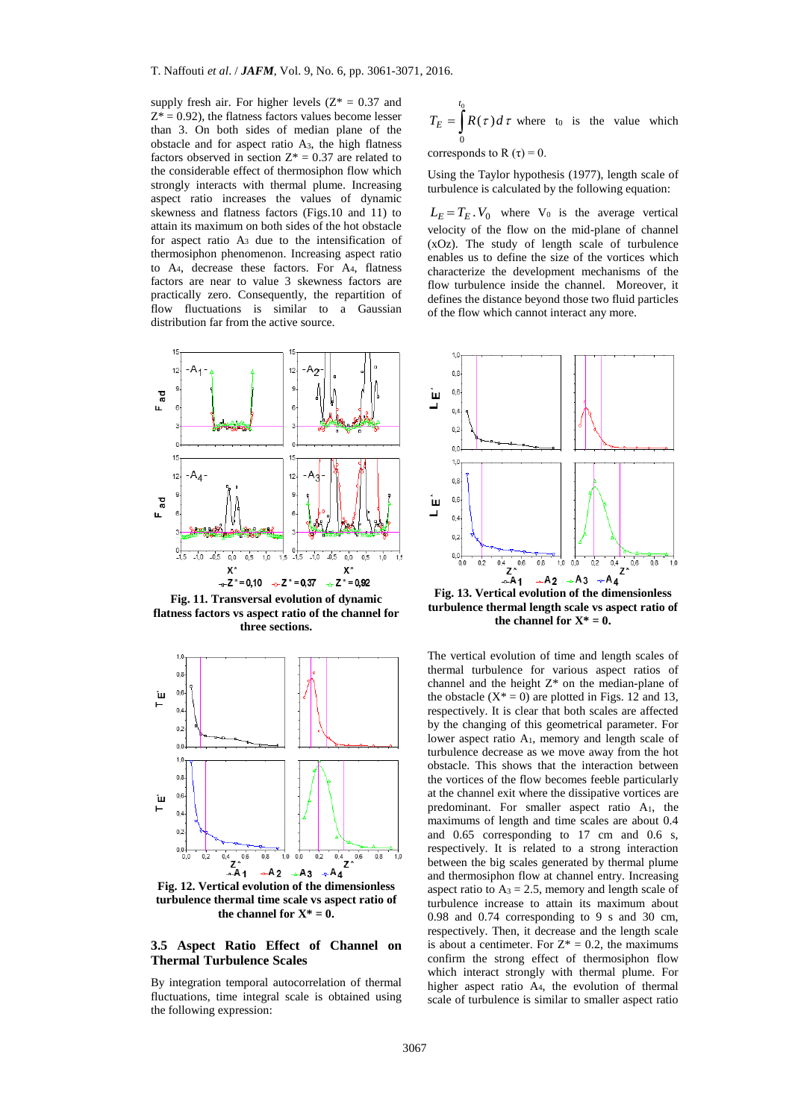supply fresh air. For higher levels  $(Z^* = 0.37$  and  $Z^* = 0.92$ ), the flatness factors values become lesser than 3. On both sides of median plane of the obstacle and for aspect ratio A3, the high flatness factors observed in section  $Z^* = 0.37$  are related to the considerable effect of thermosiphon flow which strongly interacts with thermal plume. Increasing aspect ratio increases the values of dynamic skewness and flatness factors (Figs.10 and 11) to attain its maximum on both sides of the hot obstacle for aspect ratio A<sup>3</sup> due to the intensification of thermosiphon phenomenon. Increasing aspect ratio to A4, decrease these factors. For A4, flatness factors are near to value 3 skewness factors are practically zero. Consequently, the repartition of flow fluctuations is similar to a Gaussian distribution far from the active source.



**Fig. 11. Transversal evolution of dynamic flatness factors vs aspect ratio of the channel for three sections.**



**Fig. 12. Vertical evolution of the dimensionless turbulence thermal time scale vs aspect ratio of**  the channel for  $X^* = 0$ .

## **3.5 Aspect Ratio Effect of Channel on Thermal Turbulence Scales**

By integration temporal autocorrelation of thermal fluctuations, time integral scale is obtained using the following expression:

$$
T_E = \int_0^{t_0} R(\tau) d\tau
$$
 where to is the value which

corresponds to R  $(\tau) = 0$ .

Using the Taylor hypothesis (1977), length scale of turbulence is calculated by the following equation:

 $L_E = T_E \cdot V_0$  where  $V_0$  is the average vertical velocity of the flow on the mid-plane of channel (xOz). The study of length scale of turbulence enables us to define the size of the vortices which characterize the development mechanisms of the flow turbulence inside the channel. Moreover, it defines the distance beyond those two fluid particles of the flow which cannot interact any more.



**Fig. 13. Vertical evolution of the dimensionless turbulence thermal length scale vs aspect ratio of**  the channel for  $X^* = 0$ .

The vertical evolution of time and length scales of thermal turbulence for various aspect ratios of channel and the height  $Z^*$  on the median-plane of the obstacle  $(X^* = 0)$  are plotted in Figs. 12 and 13, respectively. It is clear that both scales are affected by the changing of this geometrical parameter. For lower aspect ratio A1, memory and length scale of turbulence decrease as we move away from the hot obstacle. This shows that the interaction between the vortices of the flow becomes feeble particularly at the channel exit where the dissipative vortices are predominant. For smaller aspect ratio A1, the maximums of length and time scales are about 0.4 and 0.65 corresponding to 17 cm and 0.6 s, respectively. It is related to a strong interaction between the big scales generated by thermal plume and thermosiphon flow at channel entry. Increasing aspect ratio to  $A_3 = 2.5$ , memory and length scale of turbulence increase to attain its maximum about 0.98 and 0.74 corresponding to 9 s and 30 cm, respectively. Then, it decrease and the length scale is about a centimeter. For  $Z^* = 0.2$ , the maximums confirm the strong effect of thermosiphon flow which interact strongly with thermal plume. For higher aspect ratio A4, the evolution of thermal scale of turbulence is similar to smaller aspect ratio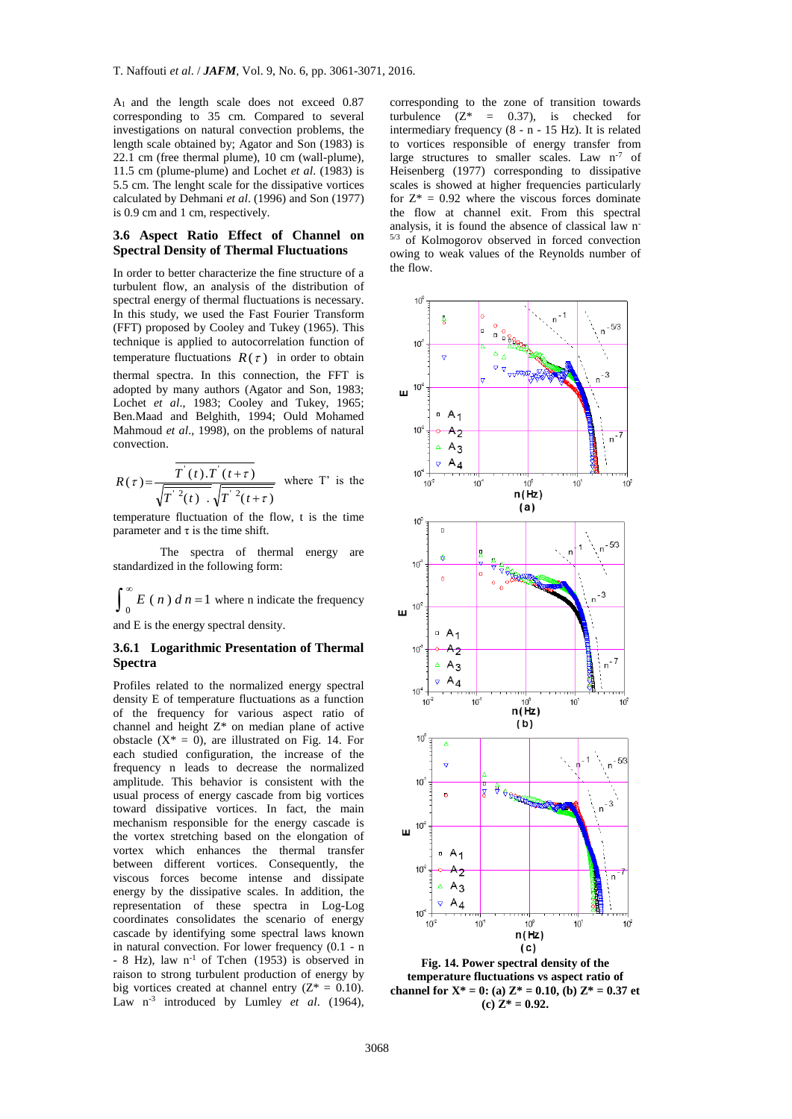A1 and the length scale does not exceed 0.87 corresponding to 35 cm. Compared to several investigations on natural convection problems, the length scale obtained by; Agator and Son (1983) is 22.1 cm (free thermal plume), 10 cm (wall-plume), 11.5 cm (plume-plume) and Lochet *et al*. (1983) is 5.5 cm. The lenght scale for the dissipative vortices calculated by Dehmani *et al*. (1996) and Son (1977) is 0.9 cm and 1 cm, respectively.

#### **3.6 Aspect Ratio Effect of Channel on Spectral Density of Thermal Fluctuations**

In order to better characterize the fine structure of a turbulent flow, an analysis of the distribution of spectral energy of thermal fluctuations is necessary. In this study, we used the Fast Fourier Transform (FFT) proposed by Cooley and Tukey (1965). This technique is applied to autocorrelation function of temperature fluctuations  $R(\tau)$  in order to obtain thermal spectra. In this connection, the FFT is adopted by many authors (Agator and Son, 1983; Lochet *et al*., 1983; Cooley and Tukey, 1965; Ben.Maad and Belghith, 1994; Ould Mohamed Mahmoud *et al*., 1998), on the problems of natural convection.

$$
R(\tau) = \frac{T'(t).T'(t+\tau)}{\sqrt{T'^2(t)} \sqrt{T'^2(t+\tau)}}
$$
 where T' is the

temperature fluctuation of the flow, t is the time parameter and  $\tau$  is the time shift.

The spectra of thermal energy are standardized in the following form:

$$
\int_0^\infty E(n) \, d\, n = 1
$$
 where n indicate the frequency

and E is the energy spectral density.

### **3.6.1 Logarithmic Presentation of Thermal Spectra**

Profiles related to the normalized energy spectral density E of temperature fluctuations as a function of the frequency for various aspect ratio of channel and height Z\* on median plane of active obstacle  $(X^* = 0)$ , are illustrated on Fig. 14. For each studied configuration, the increase of the frequency n leads to decrease the normalized amplitude. This behavior is consistent with the usual process of energy cascade from big vortices toward dissipative vortices. In fact, the main mechanism responsible for the energy cascade is the vortex stretching based on the elongation of vortex which enhances the thermal transfer between different vortices. Consequently, the viscous forces become intense and dissipate energy by the dissipative scales. In addition, the representation of these spectra in Log-Log coordinates consolidates the scenario of energy cascade by identifying some spectral laws known in natural convection. For lower frequency (0.1 - n - 8 Hz), law n<sup>-1</sup> of Tchen (1953) is observed in raison to strong turbulent production of energy by big vortices created at channel entry  $(Z^* = 0.10)$ . Law n<sup>-3</sup> introduced by Lumley *et al.* (1964), corresponding to the zone of transition towards turbulence  $(Z^* = 0.37)$ , is checked for intermediary frequency (8 - n - 15 Hz). It is related to vortices responsible of energy transfer from large structures to smaller scales. Law n<sup>-7</sup> of Heisenberg (1977) corresponding to dissipative scales is showed at higher frequencies particularly for  $Z^* = 0.92$  where the viscous forces dominate the flow at channel exit. From this spectral analysis, it is found the absence of classical law n-5/3 of Kolmogorov observed in forced convection owing to weak values of the Reynolds number of the flow.



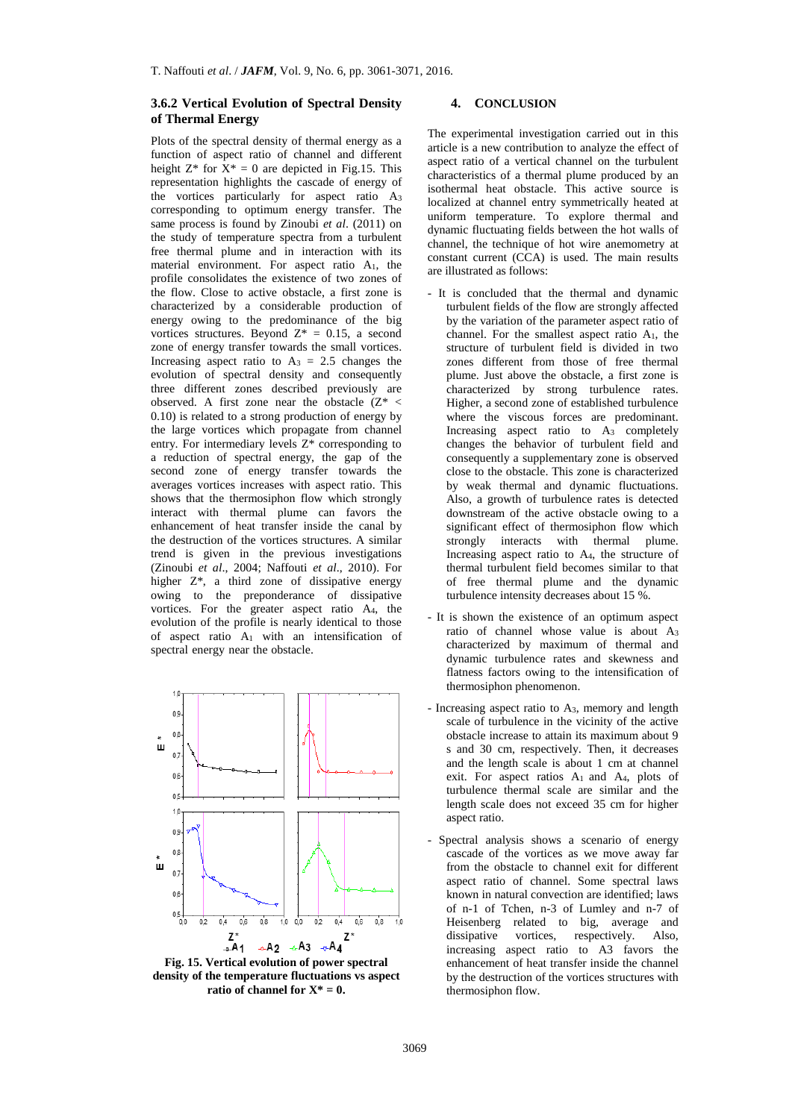## **3.6.2 Vertical Evolution of Spectral Density of Thermal Energy**

Plots of the spectral density of thermal energy as a function of aspect ratio of channel and different height  $Z^*$  for  $X^* = 0$  are depicted in Fig.15. This representation highlights the cascade of energy of the vortices particularly for aspect ratio A<sup>3</sup> corresponding to optimum energy transfer. The same process is found by Zinoubi *et al*. (2011) on the study of temperature spectra from a turbulent free thermal plume and in interaction with its material environment. For aspect ratio A1, the profile consolidates the existence of two zones of the flow. Close to active obstacle, a first zone is characterized by a considerable production of energy owing to the predominance of the big vortices structures. Beyond  $Z^* = 0.15$ , a second zone of energy transfer towards the small vortices. Increasing aspect ratio to  $A_3 = 2.5$  changes the evolution of spectral density and consequently three different zones described previously are observed. A first zone near the obstacle  $(Z^*$  < 0.10) is related to a strong production of energy by the large vortices which propagate from channel entry. For intermediary levels Z\* corresponding to a reduction of spectral energy, the gap of the second zone of energy transfer towards the averages vortices increases with aspect ratio. This shows that the thermosiphon flow which strongly interact with thermal plume can favors the enhancement of heat transfer inside the canal by the destruction of the vortices structures. A similar trend is given in the previous investigations (Zinoubi *et al*., 2004; Naffouti *et al*., 2010). For higher Z\*, a third zone of dissipative energy owing to the preponderance of dissipative vortices. For the greater aspect ratio A4, the evolution of the profile is nearly identical to those of aspect ratio A<sup>1</sup> with an intensification of spectral energy near the obstacle.



**Fig. 15. Vertical evolution of power spectral density of the temperature fluctuations vs aspect ratio of channel for**  $X^* = 0$ **.** 

## **4. CONCLUSION**

The experimental investigation carried out in this article is a new contribution to analyze the effect of aspect ratio of a vertical channel on the turbulent characteristics of a thermal plume produced by an isothermal heat obstacle. This active source is localized at channel entry symmetrically heated at uniform temperature. To explore thermal and dynamic fluctuating fields between the hot walls of channel, the technique of hot wire anemometry at constant current (CCA) is used. The main results are illustrated as follows:

- It is concluded that the thermal and dynamic turbulent fields of the flow are strongly affected by the variation of the parameter aspect ratio of channel. For the smallest aspect ratio A1, the structure of turbulent field is divided in two zones different from those of free thermal plume. Just above the obstacle, a first zone is characterized by strong turbulence rates. Higher, a second zone of established turbulence where the viscous forces are predominant. Increasing aspect ratio to  $A_3$  completely changes the behavior of turbulent field and consequently a supplementary zone is observed close to the obstacle. This zone is characterized by weak thermal and dynamic fluctuations. Also, a growth of turbulence rates is detected downstream of the active obstacle owing to a significant effect of thermosiphon flow which strongly interacts with thermal plume. Increasing aspect ratio to A4, the structure of thermal turbulent field becomes similar to that of free thermal plume and the dynamic turbulence intensity decreases about 15 %.
- It is shown the existence of an optimum aspect ratio of channel whose value is about A<sup>3</sup> characterized by maximum of thermal and dynamic turbulence rates and skewness and flatness factors owing to the intensification of thermosiphon phenomenon.
- Increasing aspect ratio to A3, memory and length scale of turbulence in the vicinity of the active obstacle increase to attain its maximum about 9 s and 30 cm, respectively. Then, it decreases and the length scale is about 1 cm at channel exit. For aspect ratios A1 and A4, plots of turbulence thermal scale are similar and the length scale does not exceed 35 cm for higher aspect ratio.
- Spectral analysis shows a scenario of energy cascade of the vortices as we move away far from the obstacle to channel exit for different aspect ratio of channel. Some spectral laws known in natural convection are identified; laws of n-1 of Tchen, n-3 of Lumley and n-7 of Heisenberg related to big, average and<br>dissipative vortices, respectively. Also, vortices, respectively. Also, increasing aspect ratio to A3 favors the enhancement of heat transfer inside the channel by the destruction of the vortices structures with thermosiphon flow.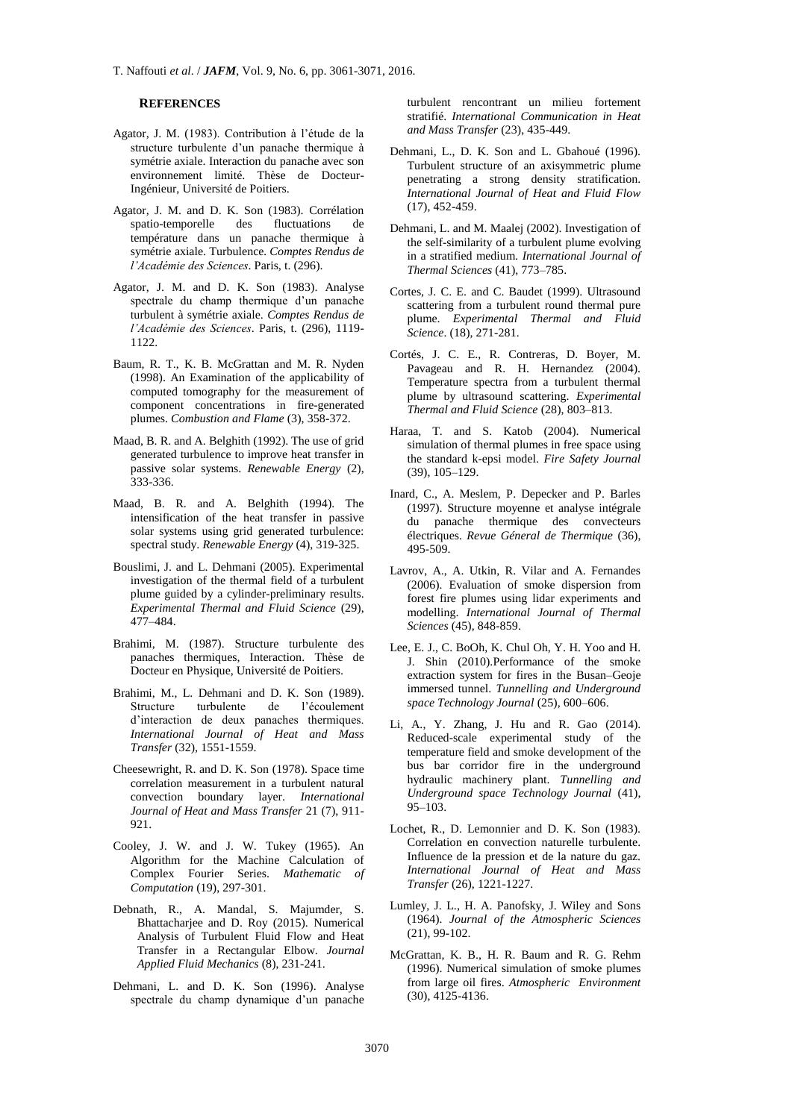#### **REFERENCES**

- Agator, J. M. (1983). Contribution à l'étude de la structure turbulente d'un panache thermique à symétrie axiale. Interaction du panache avec son environnement limité. Thèse de Docteur-Ingénieur, Université de Poitiers.
- Agator, J. M. and D. K. Son (1983). Corrélation spatio-temporelle des fluctuations de température dans un panache thermique à symétrie axiale. Turbulence*. Comptes Rendus de l'Académie des Sciences*. Paris, t. (296).
- Agator, J. M. and D. K. Son (1983). Analyse spectrale du champ thermique d'un panache turbulent à symétrie axiale. *Comptes Rendus de l'Académie des Sciences*. Paris, t. (296), 1119- 1122.
- Baum, R. T., K. B. McGrattan and M. R. Nyden (1998). An Examination of the applicability of computed tomography for the measurement of component concentrations in fire-generated plumes. *Combustion and Flame* (3), 358-372.
- Maad, B. R. and A. Belghith (1992). The use of grid generated turbulence to improve heat transfer in passive solar systems. *Renewable Energy* (2), 333-336.
- Maad, B. R. and A. Belghith (1994). The intensification of the heat transfer in passive solar systems using grid generated turbulence: spectral study. *Renewable Energy* (4), 319-325.
- Bouslimi, J. and L. Dehmani (2005). Experimental investigation of the thermal field of a turbulent plume guided by a cylinder-preliminary results. *Experimental Thermal and Fluid Science* (29), 477–484.
- Brahimi, M. (1987). Structure turbulente des panaches thermiques, Interaction. Thèse de Docteur en Physique, Université de Poitiers.
- Brahimi, M., L. Dehmani and D. K. Son (1989).<br>Structure turbulente de l'écoulement turbulente de l'écoulement d'interaction de deux panaches thermiques. *International Journal of Heat and Mass Transfer* (32), 1551-1559.
- Cheesewright, R. and D. K. Son (1978). Space time correlation measurement in a turbulent natural convection boundary layer. *International Journal of Heat and Mass Transfer* 21 (7), 911- 921.
- Cooley, J. W. and J. W. Tukey (1965). An Algorithm for the Machine Calculation of Complex Fourier Series. *Mathematic of Computation* (19), 297-301.
- Debnath, R., A. Mandal, S. Majumder, S. Bhattacharjee and D. Roy (2015). Numerical Analysis of Turbulent Fluid Flow and Heat Transfer in a Rectangular Elbow. *Journal Applied Fluid Mechanics* (8), 231-241.
- Dehmani, L. and D. K. Son (1996). Analyse spectrale du champ dynamique d'un panache

turbulent rencontrant un milieu fortement stratifié. *International Communication in Heat and Mass Transfer* (23), 435-449.

- Dehmani, L., D. K. Son and L. Gbahoué (1996). Turbulent structure of an axisymmetric plume penetrating a strong density stratification. *International Journal of Heat and Fluid Flow* (17), 452-459.
- Dehmani, L. and M. Maalej (2002). Investigation of the self-similarity of a turbulent plume evolving in a stratified medium. *International Journal of Thermal Sciences* (41), 773–785.
- Cortes, J. C. E. and C. Baudet (1999). Ultrasound scattering from a turbulent round thermal pure plume. *Experimental Thermal and Fluid Science*. (18), 271-281.
- Cortés, J. C. E., R. Contreras, D. Boyer, M. Pavageau and R. H. Hernandez (2004). Temperature spectra from a turbulent thermal plume by ultrasound scattering. *Experimental Thermal and Fluid Science* (28), 803–813.
- Haraa, T. and S. Katob (2004). Numerical simulation of thermal plumes in free space using the standard k-epsi model. *Fire Safety Journal* (39), 105–129.
- Inard, C., A. Meslem, P. Depecker and P. Barles (1997). Structure moyenne et analyse intégrale du panache thermique des convecteurs électriques. *Revue Géneral de Thermique* (36), 495-509.
- Lavrov, A., A. Utkin, R. Vilar and A. Fernandes (2006). [Evaluation of smoke dispersion from](http://www.sciencedirect.com/science/article/pii/S1290072906000044)  forest fire plumes [using lidar experiments and](http://www.sciencedirect.com/science/article/pii/S1290072906000044)  [modelling.](http://www.sciencedirect.com/science/article/pii/S1290072906000044) *International Journal of Thermal Sciences* (45), 848-859.
- Lee, E. J., C. BoOh, K. Chul Oh, Y. H. Yoo and H. J. Shin (2010).Performance of the smoke extraction system for fires in the Busan–Geoje immersed tunnel. *Tunnelling and Underground space Technology Journal* (25), 600–606.
- Li, A., Y. Zhang, J. Hu and R. Gao (2014). Reduced-scale experimental study of the temperature field and smoke development of the bus bar corridor fire in the underground hydraulic machinery plant. *Tunnelling and Underground space Technology Journal* (41), 95–103.
- Lochet, R., D. Lemonnier and D. K. Son (1983). Correlation en convection naturelle turbulente. Influence de la pression et de la nature du gaz. *International Journal of Heat and Mass Transfer* (26), 1221-1227.
- Lumley, J. L., H. A. Panofsky, J. Wiley and Sons (1964). *Journal of the Atmospheric Sciences* (21), 99-102.
- McGrattan, K. B., H. R. Baum and R. G. Rehm (1996). [Numerical simulation of smoke](http://www.sciencedirect.com/science/article/pii/1352231096001513) plumes [from large oil](http://www.sciencedirect.com/science/article/pii/1352231096001513) fires. *Atmospheric Environment* (30), 4125-4136.